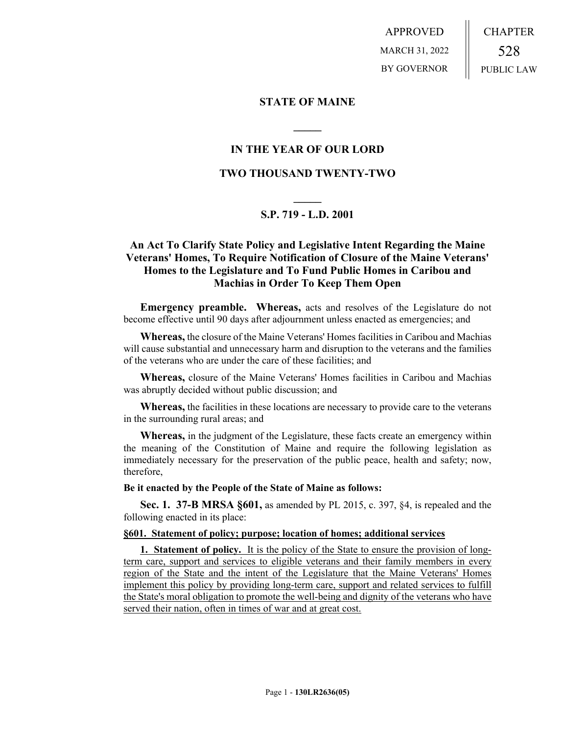APPROVED MARCH 31, 2022 BY GOVERNOR CHAPTER 528 PUBLIC LAW

# **STATE OF MAINE**

# **IN THE YEAR OF OUR LORD**

**\_\_\_\_\_**

# **TWO THOUSAND TWENTY-TWO**

# **\_\_\_\_\_ S.P. 719 - L.D. 2001**

# **An Act To Clarify State Policy and Legislative Intent Regarding the Maine Veterans' Homes, To Require Notification of Closure of the Maine Veterans' Homes to the Legislature and To Fund Public Homes in Caribou and Machias in Order To Keep Them Open**

**Emergency preamble. Whereas,** acts and resolves of the Legislature do not become effective until 90 days after adjournment unless enacted as emergencies; and

**Whereas,** the closure of the Maine Veterans' Homes facilities in Caribou and Machias will cause substantial and unnecessary harm and disruption to the veterans and the families of the veterans who are under the care of these facilities; and

**Whereas,** closure of the Maine Veterans' Homes facilities in Caribou and Machias was abruptly decided without public discussion; and

**Whereas,** the facilities in these locations are necessary to provide care to the veterans in the surrounding rural areas; and

**Whereas,** in the judgment of the Legislature, these facts create an emergency within the meaning of the Constitution of Maine and require the following legislation as immediately necessary for the preservation of the public peace, health and safety; now, therefore,

## **Be it enacted by the People of the State of Maine as follows:**

**Sec. 1. 37-B MRSA §601,** as amended by PL 2015, c. 397, §4, is repealed and the following enacted in its place:

## **§601. Statement of policy; purpose; location of homes; additional services**

**1. Statement of policy.** It is the policy of the State to ensure the provision of longterm care, support and services to eligible veterans and their family members in every region of the State and the intent of the Legislature that the Maine Veterans' Homes implement this policy by providing long-term care, support and related services to fulfill the State's moral obligation to promote the well-being and dignity of the veterans who have served their nation, often in times of war and at great cost.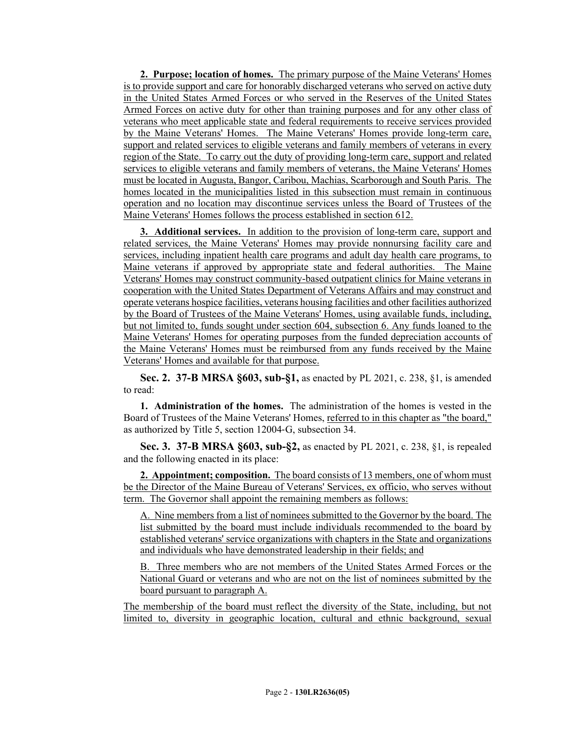**2. Purpose; location of homes.** The primary purpose of the Maine Veterans' Homes is to provide support and care for honorably discharged veterans who served on active duty in the United States Armed Forces or who served in the Reserves of the United States Armed Forces on active duty for other than training purposes and for any other class of veterans who meet applicable state and federal requirements to receive services provided by the Maine Veterans' Homes. The Maine Veterans' Homes provide long-term care, support and related services to eligible veterans and family members of veterans in every region of the State. To carry out the duty of providing long-term care, support and related services to eligible veterans and family members of veterans, the Maine Veterans' Homes must be located in Augusta, Bangor, Caribou, Machias, Scarborough and South Paris. The homes located in the municipalities listed in this subsection must remain in continuous operation and no location may discontinue services unless the Board of Trustees of the Maine Veterans' Homes follows the process established in section 612.

**3. Additional services.** In addition to the provision of long-term care, support and related services, the Maine Veterans' Homes may provide nonnursing facility care and services, including inpatient health care programs and adult day health care programs, to Maine veterans if approved by appropriate state and federal authorities. The Maine Veterans' Homes may construct community-based outpatient clinics for Maine veterans in cooperation with the United States Department of Veterans Affairs and may construct and operate veterans hospice facilities, veterans housing facilities and other facilities authorized by the Board of Trustees of the Maine Veterans' Homes, using available funds, including, but not limited to, funds sought under section 604, subsection 6. Any funds loaned to the Maine Veterans' Homes for operating purposes from the funded depreciation accounts of the Maine Veterans' Homes must be reimbursed from any funds received by the Maine Veterans' Homes and available for that purpose.

**Sec. 2. 37-B MRSA §603, sub-§1,** as enacted by PL 2021, c. 238, §1, is amended to read:

**1. Administration of the homes.** The administration of the homes is vested in the Board of Trustees of the Maine Veterans' Homes, referred to in this chapter as "the board," as authorized by Title 5, section 12004‑G, subsection 34.

**Sec. 3. 37-B MRSA §603, sub-§2,** as enacted by PL 2021, c. 238, §1, is repealed and the following enacted in its place:

**2. Appointment; composition.** The board consists of 13 members, one of whom must be the Director of the Maine Bureau of Veterans' Services, ex officio, who serves without term. The Governor shall appoint the remaining members as follows:

A. Nine members from a list of nominees submitted to the Governor by the board. The list submitted by the board must include individuals recommended to the board by established veterans' service organizations with chapters in the State and organizations and individuals who have demonstrated leadership in their fields; and

B. Three members who are not members of the United States Armed Forces or the National Guard or veterans and who are not on the list of nominees submitted by the board pursuant to paragraph A.

The membership of the board must reflect the diversity of the State, including, but not limited to, diversity in geographic location, cultural and ethnic background, sexual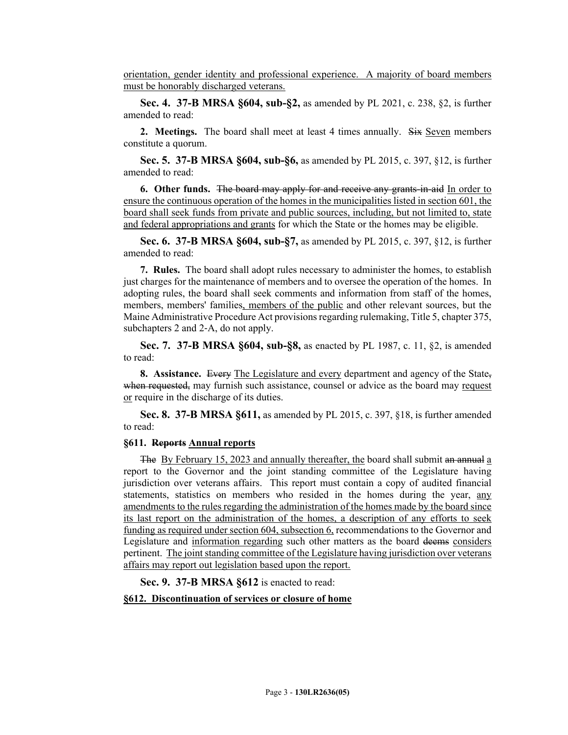orientation, gender identity and professional experience. A majority of board members must be honorably discharged veterans.

**Sec. 4. 37-B MRSA §604, sub-§2,** as amended by PL 2021, c. 238, §2, is further amended to read:

**2. Meetings.** The board shall meet at least 4 times annually. Six Seven members constitute a quorum.

**Sec. 5. 37-B MRSA §604, sub-§6,** as amended by PL 2015, c. 397, §12, is further amended to read:

**6. Other funds.** The board may apply for and receive any grants-in-aid In order to ensure the continuous operation of the homes in the municipalities listed in section 601, the board shall seek funds from private and public sources, including, but not limited to, state and federal appropriations and grants for which the State or the homes may be eligible.

**Sec. 6. 37-B MRSA §604, sub-§7,** as amended by PL 2015, c. 397, §12, is further amended to read:

**7. Rules.** The board shall adopt rules necessary to administer the homes, to establish just charges for the maintenance of members and to oversee the operation of the homes. In adopting rules, the board shall seek comments and information from staff of the homes, members, members' families, members of the public and other relevant sources, but the Maine Administrative Procedure Act provisions regarding rulemaking, Title 5, chapter 375, subchapters 2 and 2-A, do not apply.

**Sec. 7. 37-B MRSA §604, sub-§8,** as enacted by PL 1987, c. 11, §2, is amended to read:

**8. Assistance.** Every The Legislature and every department and agency of the State, when requested, may furnish such assistance, counsel or advice as the board may request or require in the discharge of its duties.

**Sec. 8. 37-B MRSA §611,** as amended by PL 2015, c. 397, §18, is further amended to read:

## **§611. Reports Annual reports**

The By February 15, 2023 and annually thereafter, the board shall submit an annual a report to the Governor and the joint standing committee of the Legislature having jurisdiction over veterans affairs. This report must contain a copy of audited financial statements, statistics on members who resided in the homes during the year, any amendments to the rules regarding the administration of the homes made by the board since its last report on the administration of the homes, a description of any efforts to seek funding as required under section 604, subsection 6, recommendations to the Governor and Legislature and information regarding such other matters as the board deems considers pertinent. The joint standing committee of the Legislature having jurisdiction over veterans affairs may report out legislation based upon the report.

**Sec. 9. 37-B MRSA §612** is enacted to read:

### **§612. Discontinuation of services or closure of home**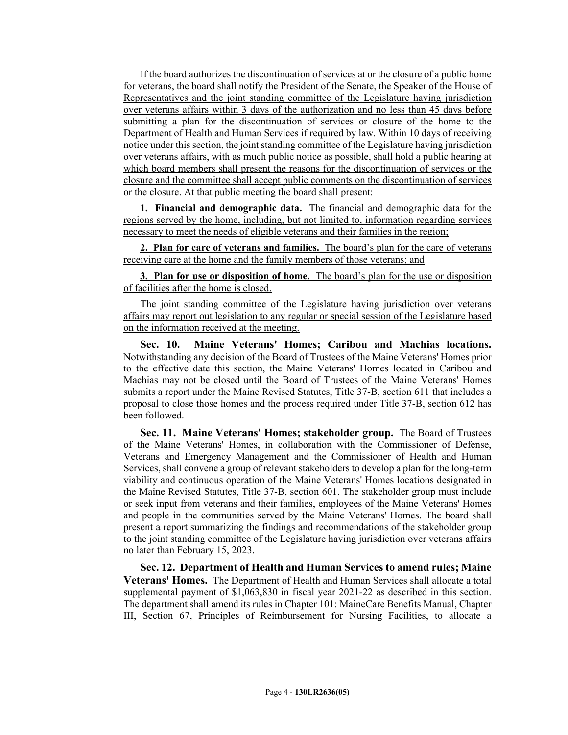If the board authorizes the discontinuation of services at or the closure of a public home for veterans, the board shall notify the President of the Senate, the Speaker of the House of Representatives and the joint standing committee of the Legislature having jurisdiction over veterans affairs within 3 days of the authorization and no less than 45 days before submitting a plan for the discontinuation of services or closure of the home to the Department of Health and Human Services if required by law. Within 10 days of receiving notice under this section, the joint standing committee of the Legislature having jurisdiction over veterans affairs, with as much public notice as possible, shall hold a public hearing at which board members shall present the reasons for the discontinuation of services or the closure and the committee shall accept public comments on the discontinuation of services or the closure. At that public meeting the board shall present:

**1. Financial and demographic data.** The financial and demographic data for the regions served by the home, including, but not limited to, information regarding services necessary to meet the needs of eligible veterans and their families in the region;

**2. Plan for care of veterans and families.** The board's plan for the care of veterans receiving care at the home and the family members of those veterans; and

**3. Plan for use or disposition of home.** The board's plan for the use or disposition of facilities after the home is closed.

The joint standing committee of the Legislature having jurisdiction over veterans affairs may report out legislation to any regular or special session of the Legislature based on the information received at the meeting.

**Sec. 10. Maine Veterans' Homes; Caribou and Machias locations.** Notwithstanding any decision of the Board of Trustees of the Maine Veterans' Homes prior to the effective date this section, the Maine Veterans' Homes located in Caribou and Machias may not be closed until the Board of Trustees of the Maine Veterans' Homes submits a report under the Maine Revised Statutes, Title 37-B, section 611 that includes a proposal to close those homes and the process required under Title 37-B, section 612 has been followed.

**Sec. 11. Maine Veterans' Homes; stakeholder group.** The Board of Trustees of the Maine Veterans' Homes, in collaboration with the Commissioner of Defense, Veterans and Emergency Management and the Commissioner of Health and Human Services, shall convene a group of relevant stakeholders to develop a plan for the long-term viability and continuous operation of the Maine Veterans' Homes locations designated in the Maine Revised Statutes, Title 37-B, section 601. The stakeholder group must include or seek input from veterans and their families, employees of the Maine Veterans' Homes and people in the communities served by the Maine Veterans' Homes. The board shall present a report summarizing the findings and recommendations of the stakeholder group to the joint standing committee of the Legislature having jurisdiction over veterans affairs no later than February 15, 2023.

**Sec. 12. Department of Health and Human Services to amend rules; Maine Veterans' Homes.** The Department of Health and Human Services shall allocate a total supplemental payment of \$1,063,830 in fiscal year 2021-22 as described in this section. The department shall amend its rules in Chapter 101: MaineCare Benefits Manual, Chapter III, Section 67, Principles of Reimbursement for Nursing Facilities, to allocate a